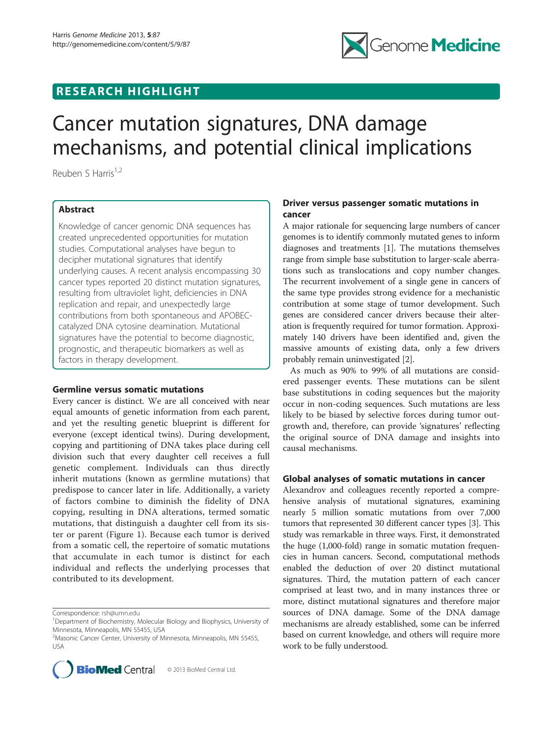## RESEARCH HIGHLIGHT



# Cancer mutation signatures, DNA damage mechanisms, and potential clinical implications

Reuben S Harris<sup>1,2</sup>

## Abstract

Knowledge of cancer genomic DNA sequences has created unprecedented opportunities for mutation studies. Computational analyses have begun to decipher mutational signatures that identify underlying causes. A recent analysis encompassing 30 cancer types reported 20 distinct mutation signatures, resulting from ultraviolet light, deficiencies in DNA replication and repair, and unexpectedly large contributions from both spontaneous and APOBECcatalyzed DNA cytosine deamination. Mutational signatures have the potential to become diagnostic, prognostic, and therapeutic biomarkers as well as factors in therapy development.

## Germline versus somatic mutations

Every cancer is distinct. We are all conceived with near equal amounts of genetic information from each parent, and yet the resulting genetic blueprint is different for everyone (except identical twins). During development, copying and partitioning of DNA takes place during cell division such that every daughter cell receives a full genetic complement. Individuals can thus directly inherit mutations (known as germline mutations) that predispose to cancer later in life. Additionally, a variety of factors combine to diminish the fidelity of DNA copying, resulting in DNA alterations, termed somatic mutations, that distinguish a daughter cell from its sister or parent (Figure [1\)](#page-1-0). Because each tumor is derived from a somatic cell, the repertoire of somatic mutations that accumulate in each tumor is distinct for each individual and reflects the underlying processes that contributed to its development.

Correspondence: [rsh@umn.edu](mailto:rsh@umn.edu) <sup>1</sup>

<sup>&</sup>lt;sup>2</sup> Masonic Cancer Center, University of Minnesota, Minneapolis, MN 55455, USA



## Driver versus passenger somatic mutations in cancer

A major rationale for sequencing large numbers of cancer genomes is to identify commonly mutated genes to inform diagnoses and treatments [\[1](#page-2-0)]. The mutations themselves range from simple base substitution to larger-scale aberrations such as translocations and copy number changes. The recurrent involvement of a single gene in cancers of the same type provides strong evidence for a mechanistic contribution at some stage of tumor development. Such genes are considered cancer drivers because their alteration is frequently required for tumor formation. Approximately 140 drivers have been identified and, given the massive amounts of existing data, only a few drivers probably remain uninvestigated [\[2](#page-2-0)].

As much as 90% to 99% of all mutations are considered passenger events. These mutations can be silent base substitutions in coding sequences but the majority occur in non-coding sequences. Such mutations are less likely to be biased by selective forces during tumor outgrowth and, therefore, can provide 'signatures' reflecting the original source of DNA damage and insights into causal mechanisms.

## Global analyses of somatic mutations in cancer

Alexandrov and colleagues recently reported a comprehensive analysis of mutational signatures, examining nearly 5 million somatic mutations from over 7,000 tumors that represented 30 different cancer types [\[3\]](#page-2-0). This study was remarkable in three ways. First, it demonstrated the huge (1,000-fold) range in somatic mutation frequencies in human cancers. Second, computational methods enabled the deduction of over 20 distinct mutational signatures. Third, the mutation pattern of each cancer comprised at least two, and in many instances three or more, distinct mutational signatures and therefore major sources of DNA damage. Some of the DNA damage mechanisms are already established, some can be inferred based on current knowledge, and others will require more work to be fully understood.

<sup>&</sup>lt;sup>1</sup>Department of Biochemistry, Molecular Biology and Biophysics, University of Minnesota, Minneapolis, MN 55455, USA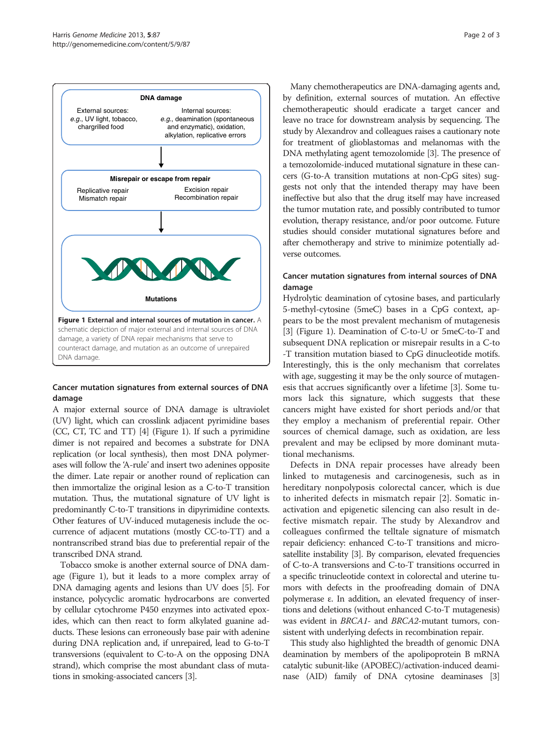<span id="page-1-0"></span>

#### Cancer mutation signatures from external sources of DNA damage

A major external source of DNA damage is ultraviolet (UV) light, which can crosslink adjacent pyrimidine bases (CC, CT, TC and TT) [\[4\]](#page-2-0) (Figure 1). If such a pyrimidine dimer is not repaired and becomes a substrate for DNA replication (or local synthesis), then most DNA polymerases will follow the 'A-rule' and insert two adenines opposite the dimer. Late repair or another round of replication can then immortalize the original lesion as a C-to-T transition mutation. Thus, the mutational signature of UV light is predominantly C-to-T transitions in dipyrimidine contexts. Other features of UV-induced mutagenesis include the occurrence of adjacent mutations (mostly CC-to-TT) and a nontranscribed strand bias due to preferential repair of the transcribed DNA strand.

Tobacco smoke is another external source of DNA damage (Figure 1), but it leads to a more complex array of DNA damaging agents and lesions than UV does [[5](#page-2-0)]. For instance, polycyclic aromatic hydrocarbons are converted by cellular cytochrome P450 enzymes into activated epoxides, which can then react to form alkylated guanine adducts. These lesions can erroneously base pair with adenine during DNA replication and, if unrepaired, lead to G-to-T transversions (equivalent to C-to-A on the opposing DNA strand), which comprise the most abundant class of mutations in smoking-associated cancers [\[3](#page-2-0)].

Many chemotherapeutics are DNA-damaging agents and, by definition, external sources of mutation. An effective chemotherapeutic should eradicate a target cancer and leave no trace for downstream analysis by sequencing. The study by Alexandrov and colleagues raises a cautionary note for treatment of glioblastomas and melanomas with the DNA methylating agent temozolomide [\[3\]](#page-2-0). The presence of a temozolomide-induced mutational signature in these cancers (G-to-A transition mutations at non-CpG sites) suggests not only that the intended therapy may have been ineffective but also that the drug itself may have increased the tumor mutation rate, and possibly contributed to tumor evolution, therapy resistance, and/or poor outcome. Future studies should consider mutational signatures before and after chemotherapy and strive to minimize potentially adverse outcomes.

## Cancer mutation signatures from internal sources of DNA damage

Hydrolytic deamination of cytosine bases, and particularly 5-methyl-cytosine (5meC) bases in a CpG context, appears to be the most prevalent mechanism of mutagenesis [[3\]](#page-2-0) (Figure 1). Deamination of C-to-U or 5meC-to-T and subsequent DNA replication or misrepair results in a C-to -T transition mutation biased to CpG dinucleotide motifs. Interestingly, this is the only mechanism that correlates with age, suggesting it may be the only source of mutagenesis that accrues significantly over a lifetime [\[3](#page-2-0)]. Some tumors lack this signature, which suggests that these cancers might have existed for short periods and/or that they employ a mechanism of preferential repair. Other sources of chemical damage, such as oxidation, are less prevalent and may be eclipsed by more dominant mutational mechanisms.

Defects in DNA repair processes have already been linked to mutagenesis and carcinogenesis, such as in hereditary nonpolyposis colorectal cancer, which is due to inherited defects in mismatch repair [\[2](#page-2-0)]. Somatic inactivation and epigenetic silencing can also result in defective mismatch repair. The study by Alexandrov and colleagues confirmed the telltale signature of mismatch repair deficiency: enhanced C-to-T transitions and microsatellite instability [\[3](#page-2-0)]. By comparison, elevated frequencies of C-to-A transversions and C-to-T transitions occurred in a specific trinucleotide context in colorectal and uterine tumors with defects in the proofreading domain of DNA polymerase ε. In addition, an elevated frequency of insertions and deletions (without enhanced C-to-T mutagenesis) was evident in BRCA1- and BRCA2-mutant tumors, consistent with underlying defects in recombination repair.

This study also highlighted the breadth of genomic DNA deamination by members of the apolipoprotein B mRNA catalytic subunit-like (APOBEC)/activation-induced deaminase (AID) family of DNA cytosine deaminases [[3](#page-2-0)]